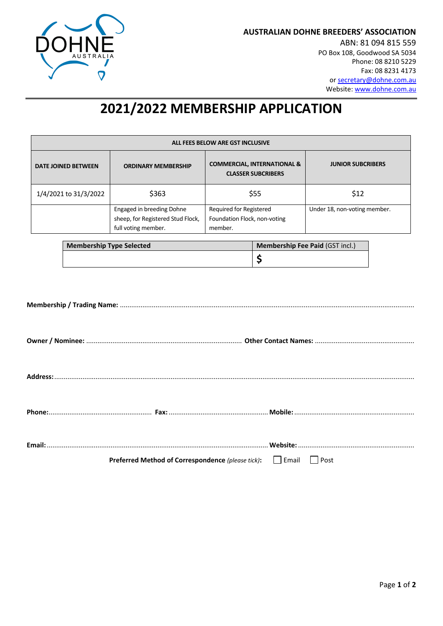

**AUSTRALIAN DOHNE BREEDERS' ASSOCIATION**

ABN: 81 094 815 559 PO Box 108, Goodwood SA 5034 Phone: 08 8210 5229 Fax: 08 8231 4173 or [secretary@dohne.com.au](mailto:secretary@dohne.com.au) Website[: www.dohne.com.au](http://www.dohne.com.au/)

# **2021/2022 MEMBERSHIP APPLICATION**

| ALL FEES BELOW ARE GST INCLUSIVE |                                                                                       |                                                                     |                              |  |  |
|----------------------------------|---------------------------------------------------------------------------------------|---------------------------------------------------------------------|------------------------------|--|--|
| <b>DATE JOINED BETWEEN</b>       | <b>ORDINARY MEMBERSHIP</b>                                                            | <b>COMMERCIAL, INTERNATIONAL &amp;</b><br><b>CLASSER SUBCRIBERS</b> | <b>JUNIOR SUBCRIBERS</b>     |  |  |
| 1/4/2021 to 31/3/2022            | \$363                                                                                 | \$55                                                                | \$12                         |  |  |
|                                  | Engaged in breeding Dohne<br>sheep, for Registered Stud Flock,<br>full voting member. | Required for Registered<br>Foundation Flock, non-voting<br>member.  | Under 18, non-voting member. |  |  |

| <b>Membership Type Selected</b> | <b>Membership Fee Paid (GST incl.)</b> |
|---------------------------------|----------------------------------------|
|                                 |                                        |

| <b>Preferred Method of Correspondence</b> (please tick):   Email   Post |  |
|-------------------------------------------------------------------------|--|